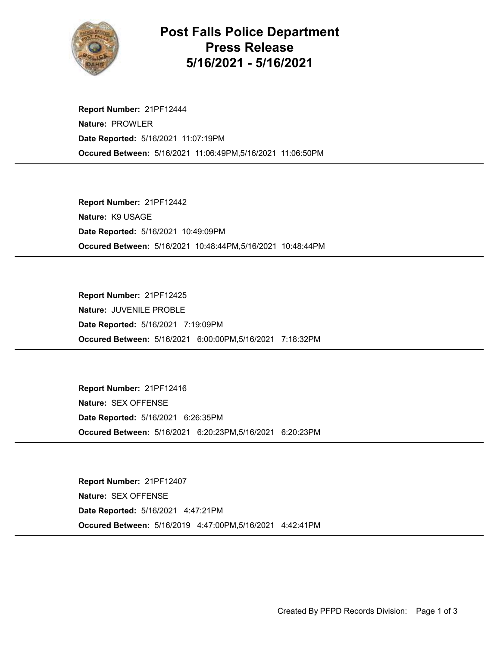

## Post Falls Police Department Press Release 5/16/2021 - 5/16/2021

Occured Between: 5/16/2021 11:06:49PM,5/16/2021 11:06:50PM Report Number: 21PF12444 Nature: PROWLER Date Reported: 5/16/2021 11:07:19PM

Occured Between: 5/16/2021 10:48:44PM,5/16/2021 10:48:44PM Report Number: 21PF12442 Nature: K9 USAGE Date Reported: 5/16/2021 10:49:09PM

Occured Between: 5/16/2021 6:00:00PM,5/16/2021 7:18:32PM Report Number: 21PF12425 Nature: JUVENILE PROBLE Date Reported: 5/16/2021 7:19:09PM

Occured Between: 5/16/2021 6:20:23PM,5/16/2021 6:20:23PM Report Number: 21PF12416 Nature: SEX OFFENSE Date Reported: 5/16/2021 6:26:35PM

Occured Between: 5/16/2019 4:47:00PM,5/16/2021 4:42:41PM Report Number: 21PF12407 Nature: SEX OFFENSE Date Reported: 5/16/2021 4:47:21PM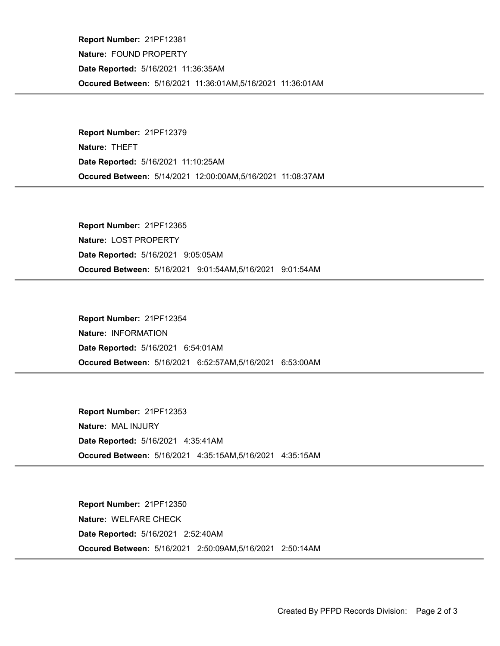Occured Between: 5/16/2021 11:36:01AM,5/16/2021 11:36:01AM Report Number: 21PF12381 Nature: FOUND PROPERTY Date Reported: 5/16/2021 11:36:35AM

Occured Between: 5/14/2021 12:00:00AM,5/16/2021 11:08:37AM Report Number: 21PF12379 Nature: THEFT Date Reported: 5/16/2021 11:10:25AM

Occured Between: 5/16/2021 9:01:54AM,5/16/2021 9:01:54AM Report Number: 21PF12365 Nature: LOST PROPERTY Date Reported: 5/16/2021 9:05:05AM

Occured Between: 5/16/2021 6:52:57AM,5/16/2021 6:53:00AM Report Number: 21PF12354 Nature: INFORMATION Date Reported: 5/16/2021 6:54:01AM

Occured Between: 5/16/2021 4:35:15AM,5/16/2021 4:35:15AM Report Number: 21PF12353 Nature: MAL INJURY Date Reported: 5/16/2021 4:35:41AM

Occured Between: 5/16/2021 2:50:09AM,5/16/2021 2:50:14AM Report Number: 21PF12350 Nature: WELFARE CHECK Date Reported: 5/16/2021 2:52:40AM